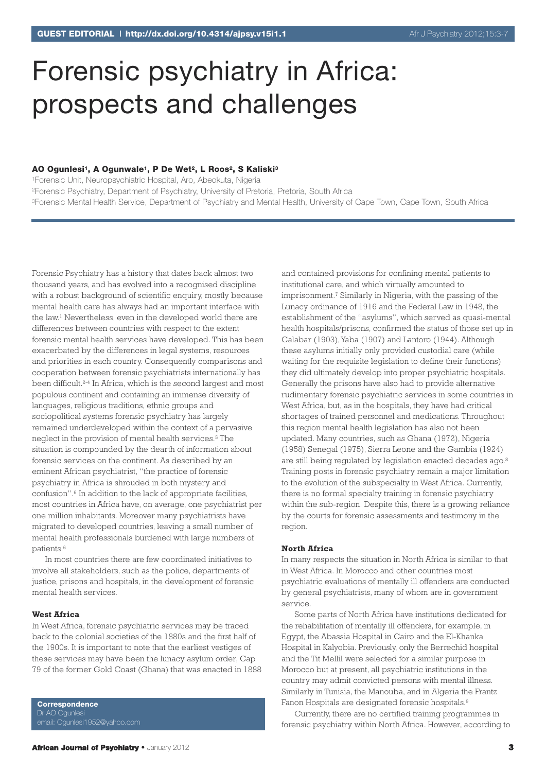# Forensic psychiatry in Africa: prospects and challenges

## **AO Ogunlesi1, A Ogunwale1, P De Wet2, L Roos2, S Kaliski3**

1Forensic Unit, Neuropsychiatric Hospital, Aro, Abeokuta, Nigeria 2Forensic Psychiatry, Department of Psychiatry, University of Pretoria, Pretoria, South Africa 3Forensic Mental Health Service, Department of Psychiatry and Mental Health, University of Cape Town, Cape Town, South Africa

Forensic Psychiatry has a history that dates back almost two thousand years, and has evolved into a recognised discipline with a robust background of scientific enquiry, mostly because mental health care has always had an important interface with the law. <sup>1</sup> Nevertheless, even in the developed world there are differences between countries with respect to the extent forensic mental health services have developed. This has been exacerbated by the differences in legal systems, resources and priorities in each country. Consequently comparisons and cooperation between forensic psychiatrists internationally has been difficult. 2-4 In Africa, which is the second largest and most populous continent and containing an immense diversity of languages, religious traditions, ethnic groups and sociopolitical systems forensic psychiatry has largely remained underdeveloped within the context of a pervasive neglect in the provision of mental health services. <sup>5</sup> The situation is compounded by the dearth of information about forensic services on the continent. As described by an eminent African psychiatrist, "the practice of forensic psychiatry in Africa is shrouded in both mystery and confusion". <sup>6</sup> In addition to the lack of appropriate facilities, most countries in Africa have, on average, one psychiatrist per one million inhabitants. Moreover many psychiatrists have migrated to developed countries, leaving a small number of mental health professionals burdened with large numbers of patients. 6

In most countries there are few coordinated initiatives to involve all stakeholders, such as the police, departments of justice, prisons and hospitals, in the development of forensic mental health services.

### **West Africa**

In West Africa, forensic psychiatric services may be traced back to the colonial societies of the 1880s and the first half of the 1900s. It is important to note that the earliest vestiges of these services may have been the lunacy asylum order, Cap 79 of the former Gold Coast (Ghana) that was enacted in 1888

**Correspondence** Dr AO Ogunles email: Ogunlesi1952@yahoo.com

and contained provisions for confining mental patients to institutional care, and which virtually amounted to imprisonment. <sup>7</sup> Similarly in Nigeria, with the passing of the Lunacy ordinance of 1916 and the Federal Law in 1948, the establishment of the "asylums", which served as quasi-mental health hospitals/prisons, confirmed the status of those set up in Calabar (1903),Yaba (1907) and Lantoro (1944). Although these asylums initially only provided custodial care (while waiting for the requisite legislation to define their functions) they did ultimately develop into proper psychiatric hospitals. Generally the prisons have also had to provide alternative rudimentary forensic psychiatric services in some countries in West Africa, but, as in the hospitals, they have had critical shortages of trained personnel and medications. Throughout this region mental health legislation has also not been updated. Many countries, such as Ghana (1972), Nigeria (1958) Senegal (1975), Sierra Leone and the Gambia (1924) are still being regulated by legislation enacted decades ago.<sup>8</sup> Training posts in forensic psychiatry remain a major limitation to the evolution of the subspecialty in West Africa. Currently, there is no formal specialty training in forensic psychiatry within the sub-region. Despite this, there is a growing reliance by the courts for forensic assessments and testimony in the region.

## **North Africa**

In many respects the situation in North Africa is similar to that in West Africa. In Morocco and other countries most psychiatric evaluations of mentally ill offenders are conducted by general psychiatrists, many of whom are in government service.

Some parts of North Africa have institutions dedicated for the rehabilitation of mentally ill offenders, for example, in Egypt, the Abassia Hospital in Cairo and the El-Khanka Hospital in Kalyobia. Previously, only the Berrechid hospital and the Tit Mellil were selected for a similar purpose in Morocco but at present, all psychiatric institutions in the country may admit convicted persons with mental illness. Similarly in Tunisia, the Manouba, and in Algeria the Frantz Fanon Hospitals are designated forensic hospitals. 9

Currently, there are no certified training programmes in forensic psychiatry within North Africa. However, according to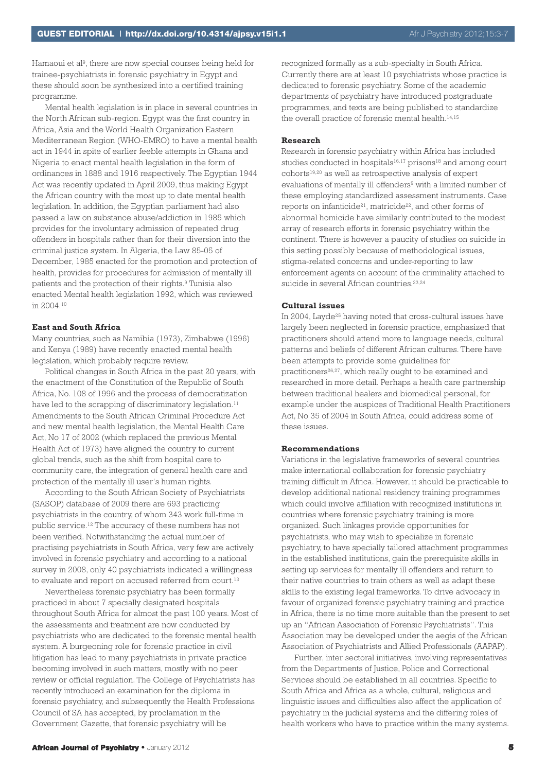Hamaoui et al 9, there are now special courses being held for trainee-psychiatrists in forensic psychiatry in Egypt and these should soon be synthesized into a certified training programme.

Mental health legislation is in place in several countries in the North African sub-region. Egypt was the first country in Africa, Asia and the World Health Organization Eastern Mediterranean Region (WHO-EMRO) to have a mental health act in 1944 in spite of earlier feeble attempts in Ghana and Nigeria to enact mental health legislation in the form of ordinances in 1888 and 1916 respectively. The Egyptian 1944 Act was recently updated in April 2009, thus making Egypt the African country with the most up to date mental health legislation. In addition, the Egyptian parliament had also passed a law on substance abuse/addiction in 1985 which provides for the involuntary admission of repeated drug offenders in hospitals rather than for their diversion into the criminal justice system. In Algeria, the Law 85-05 of December, 1985 enacted for the promotion and protection of health, provides for procedures for admission of mentally ill patients and the protection of their rights. <sup>9</sup> Tunisia also enacted Mental health legislation 1992, which was reviewed in 2004. 10

# **East and South Africa**

Many countries, such as Namibia (1973), Zimbabwe (1996) and Kenya (1989) have recently enacted mental health legislation, which probably require review.

Political changes in South Africa in the past 20 years, with the enactment of the Constitution of the Republic of South Africa, No. 108 of 1996 and the process of democratization have led to the scrapping of discriminatory legislation. 11 Amendments to the South African Criminal Procedure Act and new mental health legislation, the Mental Health Care Act, No 17 of 2002 (which replaced the previous Mental Health Act of 1973) have aligned the country to current global trends, such as the shift from hospital care to community care, the integration of general health care and protection of the mentally ill user's human rights.

According to the South African Society of Psychiatrists (SASOP) database of 2009 there are 693 practicing psychiatrists in the country, of whom 343 work full-time in public service. <sup>12</sup> The accuracy of these numbers has not been verified. Notwithstanding the actual number of practising psychiatrists in South Africa, very few are actively involved in forensic psychiatry and according to a national survey in 2008, only 40 psychiatrists indicated a willingness to evaluate and report on accused referred from court.<sup>13</sup>

Nevertheless forensic psychiatry has been formally practiced in about 7 specially designated hospitals throughout South Africa for almost the past 100 years. Most of the assessments and treatment are now conducted by psychiatrists who are dedicated to the forensic mental health system. A burgeoning role for forensic practice in civil litigation has lead to many psychiatrists in private practice becoming involved in such matters, mostly with no peer review or official regulation. The College of Psychiatrists has recently introduced an examination for the diploma in forensic psychiatry, and subsequently the Health Professions Council of SA has accepted, by proclamation in the Government Gazette, that forensic psychiatry will be

recognized formally as a sub-specialty in South Africa. Currently there are at least 10 psychiatrists whose practice is dedicated to forensic psychiatry. Some of the academic departments of psychiatry have introduced postgraduate programmes, and texts are being published to standardize the overall practice of forensic mental health. 14,15

### **Research**

Research in forensic psychiatry within Africa has included studies conducted in hospitals<sup>16,17</sup> prisons<sup>18</sup> and among court cohorts19,20 as well as retrospective analysis of expert evaluations of mentally ill offenders<sup>9</sup> with a limited number of these employing standardized assessment instruments. Case reports on infanticide<sup>21</sup>, matricide<sup>22</sup>, and other forms of abnormal homicide have similarly contributed to the modest array of research efforts in forensic psychiatry within the continent. There is however a paucity of studies on suicide in this setting possibly because of methodological issues, stigma-related concerns and under-reporting to law enforcement agents on account of the criminality attached to suicide in several African countries. 23,24

## **Cultural issues**

In 2004, Layde25 having noted that cross-cultural issues have largely been neglected in forensic practice, emphasized that practitioners should attend more to language needs, cultural patterns and beliefs of different African cultures. There have been attempts to provide some guidelines for practitioners<sup>26,27</sup>, which really ought to be examined and researched in more detail. Perhaps a health care partnership between traditional healers and biomedical personal, for example under the auspices of Traditional Health Practitioners Act, No 35 of 2004 in South Africa, could address some of these issues.

## **Recommendations**

Variations in the legislative frameworks of several countries make international collaboration for forensic psychiatry training difficult in Africa. However, it should be practicable to develop additional national residency training programmes which could involve affiliation with recognized institutions in countries where forensic psychiatry training is more organized. Such linkages provide opportunities for psychiatrists, who may wish to specialize in forensic psychiatry, to have specially tailored attachment programmes in the established institutions, gain the prerequisite skills in setting up services for mentally ill offenders and return to their native countries to train others as well as adapt these skills to the existing legal frameworks. To drive advocacy in favour of organized forensic psychiatry training and practice in Africa, there is no time more suitable than the present to set up an "African Association of Forensic Psychiatrists". This Association may be developed under the aegis of the African Association of Psychiatrists and Allied Professionals (AAPAP).

Further, inter sectoral initiatives, involving representatives from the Departments of Justice, Police and Correctional Services should be established in all countries. Specific to South Africa and Africa as a whole, cultural, religious and linguistic issues and difficulties also affect the application of psychiatry in the judicial systems and the differing roles of health workers who have to practice within the many systems.